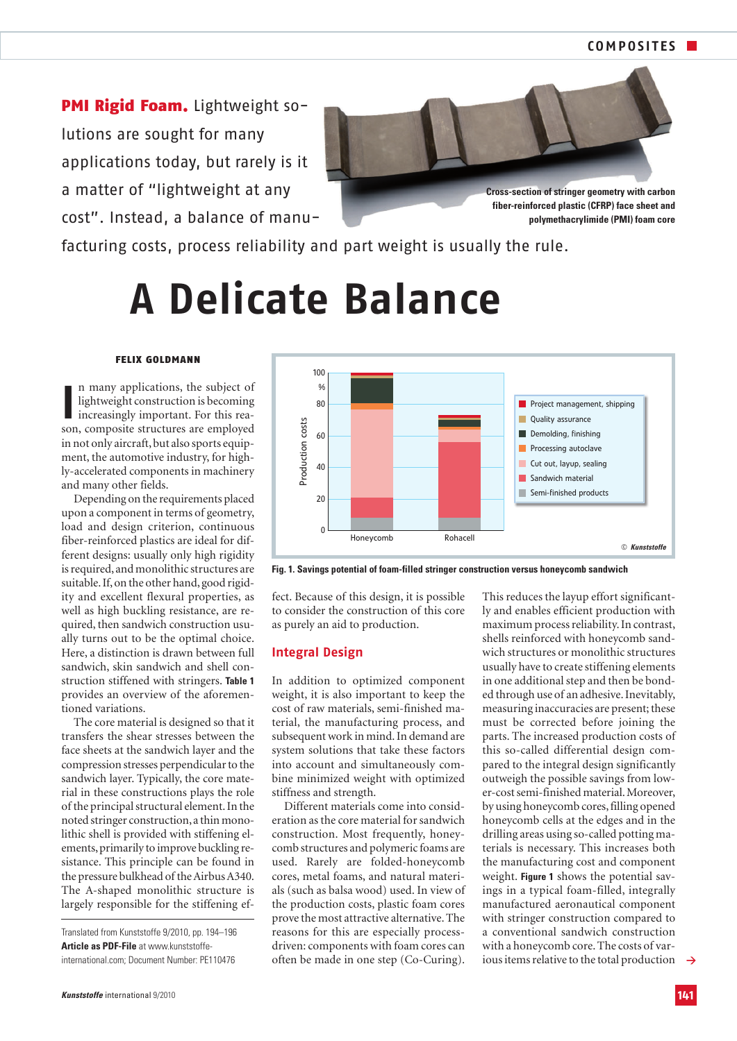PMI Rigid Foam. Lightweight solutions are sought for many applications today, but rarely is it a matter of "lightweight at any cost". Instead, a balance of manu-



*fiber-reinforced plastic (CFRP) face sheet and polymethacrylimide (PMI) foam core*

facturing costs, process reliability and part weight is usually the rule.

# **A Delicate Balance**

### FELIX GOLDMANN

In many applications, the subject of lightweight construction is becoming increasingly important. For this reason, composite structures are employed n many applications, the subject of lightweight construction is becoming increasingly important. For this reain not only aircraft, but also sports equipment, the automotive industry, for highly-accelerated components in machinery and many other fields.

Depending on the requirements placed upon a component in terms of geometry, load and design criterion, continuous fiber-reinforced plastics are ideal for different designs: usually only high rigidity is required, and monolithic structures are suitable. If, on the other hand, good rigidity and excellent flexural properties, as well as high buckling resistance, are required, then sandwich construction usually turns out to be the optimal choice. Here, a distinction is drawn between full sandwich, skin sandwich and shell construction stiffened with stringers. *Table 1* provides an overview of the aforementioned variations.

The core material is designed so that it transfers the shear stresses between the face sheets at the sandwich layer and the compression stresses perpendicular to the sandwich layer. Typically, the core material in these constructions plays the role of the principal structural element. In the noted stringer construction,a thin monolithic shell is provided with stiffening elements,primarily to improve buckling resistance. This principle can be found in the pressure bulkhead of the Airbus A340. The A-shaped monolithic structure is largely responsible for the stiffening ef-

Translated from Kunststoffe 9/2010, pp. 194–196 *Article as PDF-File* at www.kunststoffeinternational.com; Document Number: PE110476



*Fig. 1. Savings potential of foam-filled stringer construction versus honeycomb sandwich*

fect. Because of this design, it is possible to consider the construction of this core as purely an aid to production.

#### **Integral Design**

In addition to optimized component weight, it is also important to keep the cost of raw materials, semi-finished material, the manufacturing process, and subsequent work in mind. In demand are system solutions that take these factors into account and simultaneously combine minimized weight with optimized stiffness and strength.

Different materials come into consideration as the core material for sandwich construction. Most frequently, honeycomb structures and polymeric foams are used. Rarely are folded-honeycomb cores, metal foams, and natural materials (such as balsa wood) used. In view of the production costs, plastic foam cores prove the most attractive alternative. The reasons for this are especially processdriven: components with foam cores can often be made in one step (Co-Curing).

**>** ious items relative to the total production This reduces the layup effort significantly and enables efficient production with maximum process reliability. In contrast, shells reinforced with honeycomb sandwich structures or monolithic structures usually have to create stiffening elements in one additional step and then be bonded through use of an adhesive. Inevitably, measuring inaccuracies are present; these must be corrected before joining the parts. The increased production costs of this so-called differential design compared to the integral design significantly outweigh the possible savings from lower-cost semi-finished material. Moreover, by using honeycomb cores, filling opened honeycomb cells at the edges and in the drilling areas using so-called potting materials is necessary. This increases both the manufacturing cost and component weight. *Figure 1* shows the potential savings in a typical foam-filled, integrally manufactured aeronautical component with stringer construction compared to a conventional sandwich construction with a honeycomb core. The costs of var-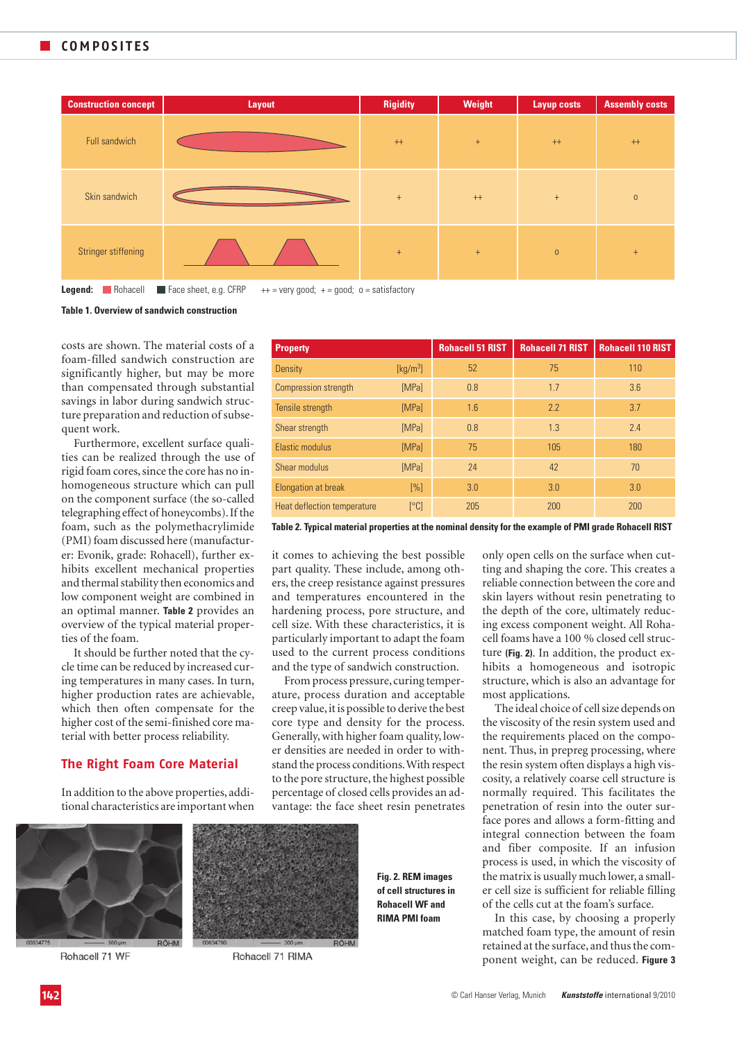

**Legend:** Nohacell ■ Face sheet, e.g. CFRP ++ = very good; + = good; o = satisfactory

*Table 1. Overview of sandwich construction*

costs are shown. The material costs of a foam-filled sandwich construction are significantly higher, but may be more than compensated through substantial savings in labor during sandwich structure preparation and reduction of subsequent work.

Furthermore, excellent surface qualities can be realized through the use of rigid foam cores, since the core has no inhomogeneous structure which can pull on the component surface (the so-called telegraphing effect of honeycombs). If the foam, such as the polymethacrylimide (PMI) foam discussed here (manufacturer: Evonik, grade: Rohacell), further exhibits excellent mechanical properties and thermal stability then economics and low component weight are combined in an optimal manner. *Table 2* provides an overview of the typical material properties of the foam.

It should be further noted that the cycle time can be reduced by increased curing temperatures in many cases. In turn, higher production rates are achievable, which then often compensate for the higher cost of the semi-finished core material with better process reliability.

## **The Right Foam Core Material**

In addition to the above properties, additional characteristics are important when



Rohacell 71 WF



Rohacell 71 RIMA

*Fig. 2. REM images of cell structures in Rohacell WF and RIMA PMI foam*

only open cells on the surface when cutting and shaping the core. This creates a reliable connection between the core and skin layers without resin penetrating to the depth of the core, ultimately reducing excess component weight. All Rohacell foams have a 100 % closed cell structure *(Fig. 2)*. In addition, the product exhibits a homogeneous and isotropic structure, which is also an advantage for most applications.

*Property Rohacell 51 RIST Rohacell 71 RIST Rohacell 110 RIST*

The ideal choice of cell size depends on the viscosity of the resin system used and the requirements placed on the component. Thus, in prepreg processing, where the resin system often displays a high viscosity, a relatively coarse cell structure is normally required. This facilitates the penetration of resin into the outer surface pores and allows a form-fitting and integral connection between the foam and fiber composite. If an infusion process is used, in which the viscosity of the matrix is usually much lower, a smaller cell size is sufficient for reliable filling of the cells cut at the foam's surface.

In this case, by choosing a properly matched foam type, the amount of resin retained at the surface, and thus the component weight, can be reduced. *Figure 3*

| . <b>.</b>                                        |                                         |     |     |     |
|---------------------------------------------------|-----------------------------------------|-----|-----|-----|
| Density                                           | $\left[\mathrm{kg}/\mathrm{m}^3\right]$ | 52  | 75  | 110 |
| Compression strength                              | [MPa]                                   | 0.8 | 1.7 | 3.6 |
| Tensile strength                                  | [MPa]                                   | 1.6 | 2.2 | 3.7 |
| Shear strength                                    | [MPa]                                   | 0.8 | 1.3 | 2.4 |
| Elastic modulus                                   | [MPa]                                   | 75  | 105 | 180 |
| Shear modulus                                     | [MPa]                                   | 24  | 42  | 70  |
| Elongation at break                               | [%]                                     | 3.0 | 3.0 | 3.0 |
| Heat deflection temperature                       | [°C]                                    | 205 | 200 | 200 |
| THAT I A LI A AN I AN I AN I AN I AN I AN INDIATE |                                         |     |     |     |

*Table 2. Typical material properties at the nominal density for the example of PMI grade Rohacell RIST*

it comes to achieving the best possible part quality. These include, among others, the creep resistance against pressures and temperatures encountered in the hardening process, pore structure, and cell size. With these characteristics, it is particularly important to adapt the foam used to the current process conditions and the type of sandwich construction.

From process pressure, curing temperature, process duration and acceptable creep value, it is possible to derive the best core type and density for the process. Generally, with higher foam quality, lower densities are needed in order to withstand the process conditions.With respect to the pore structure, the highest possible percentage of closed cells provides an advantage: the face sheet resin penetrates